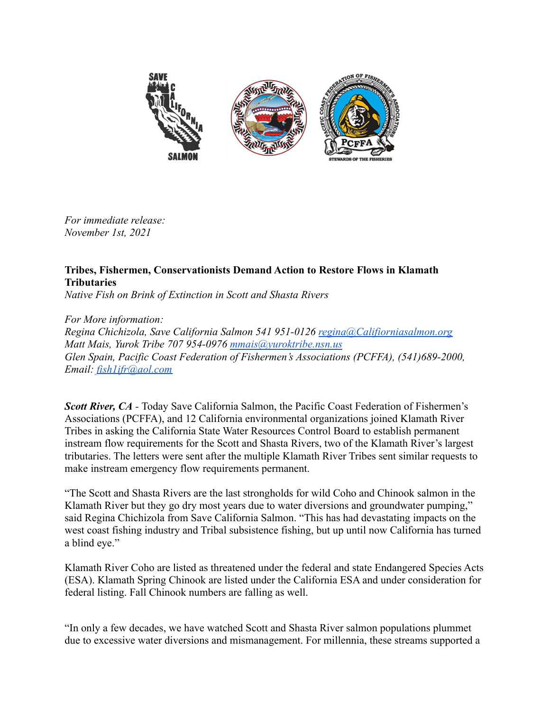

*For immediate release: November 1st, 2021*

## **Tribes, Fishermen, Conservationists Demand Action to Restore Flows in Klamath Tributaries**

*Native Fish on Brink of Extinction in Scott and Shasta Rivers*

*For More information:*

*Regina Chichizola, Save California Salmon 541 951-0126 [regina@Califiorniasalmon.org](mailto:regina@Califiorniasalmon.org) Matt Mais, Yurok Tribe 707 954-0976 [mmais@yuroktribe.nsn.us](mailto:mmais@yuroktribe.nsn.us) Glen Spain, Pacific Coast Federation of Fishermen's Associations (PCFFA), (541)689-2000, Email: [fish1ifr@aol.com](mailto:fish1ifr@aol.com)*

*Scott River, CA -* Today Save California Salmon, the Pacific Coast Federation of Fishermen's Associations (PCFFA), and 12 California environmental organizations joined Klamath River Tribes in asking the California State Water Resources Control Board to establish permanent instream flow requirements for the Scott and Shasta Rivers, two of the Klamath River's largest tributaries. The letters were sent after the multiple Klamath River Tribes sent similar requests to make instream emergency flow requirements permanent.

"The Scott and Shasta Rivers are the last strongholds for wild Coho and Chinook salmon in the Klamath River but they go dry most years due to water diversions and groundwater pumping," said Regina Chichizola from Save California Salmon. "This has had devastating impacts on the west coast fishing industry and Tribal subsistence fishing, but up until now California has turned a blind eye."

Klamath River Coho are listed as threatened under the federal and state Endangered Species Acts (ESA). Klamath Spring Chinook are listed under the California ESA and under consideration for federal listing. Fall Chinook numbers are falling as well.

"In only a few decades, we have watched Scott and Shasta River salmon populations plummet due to excessive water diversions and mismanagement. For millennia, these streams supported a